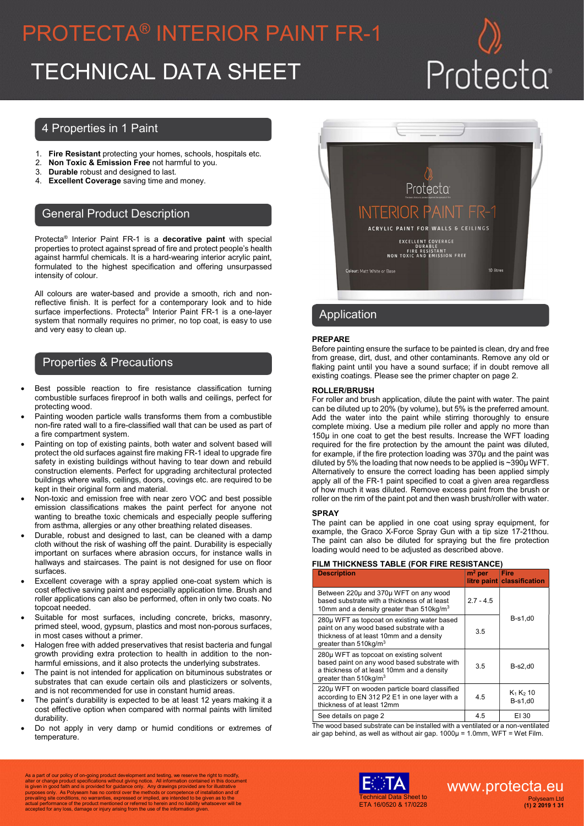# PROTECTA® INTERIOR PAINT FR-1 TECHNICAL DATA SHEET Protecta

## 4 Properties in 1 Paint

- 1. Fire Resistant protecting your homes, schools, hospitals etc.
- 2. Non Toxic & Emission Free not harmful to you.
- 3. Durable robust and designed to last.
- 4. Excellent Coverage saving time and money.

## General Product Description

Protecta<sup>®</sup> Interior Paint FR-1 is a decorative paint with special properties to protect against spread of fire and protect people's health against harmful chemicals. It is a hard-wearing interior acrylic paint, formulated to the highest specification and offering unsurpassed intensity of colour.

All colours are water-based and provide a smooth, rich and nonreflective finish. It is perfect for a contemporary look and to hide surface imperfections. Protecta<sup>®</sup> Interior Paint FR-1 is a one-layer system that normally requires no primer, no top coat, is easy to use and very easy to clean up.

## Properties & Precautions

- Best possible reaction to fire resistance classification turning combustible surfaces fireproof in both walls and ceilings, perfect for protecting wood.
- Painting wooden particle walls transforms them from a combustible non-fire rated wall to a fire-classified wall that can be used as part of a fire compartment system.
- Painting on top of existing paints, both water and solvent based will protect the old surfaces against fire making FR-1 ideal to upgrade fire safety in existing buildings without having to tear down and rebuild construction elements. Perfect for upgrading architectural protected buildings where walls, ceilings, doors, covings etc. are required to be kept in their original form and material.
- Non-toxic and emission free with near zero VOC and best possible emission classifications makes the paint perfect for anyone not wanting to breathe toxic chemicals and especially people suffering from asthma, allergies or any other breathing related diseases.
- Durable, robust and designed to last, can be cleaned with a damp cloth without the risk of washing off the paint. Durability is especially important on surfaces where abrasion occurs, for instance walls in hallways and staircases. The paint is not designed for use on floor surfaces.
- Excellent coverage with a spray applied one-coat system which is cost effective saving paint and especially application time. Brush and roller applications can also be performed, often in only two coats. No topcoat needed.
- Suitable for most surfaces, including concrete, bricks, masonry, primed steel, wood, gypsum, plastics and most non-porous surfaces, in most cases without a primer.
- Halogen free with added preservatives that resist bacteria and fungal growth providing extra protection to health in addition to the nonharmful emissions, and it also protects the underlying substrates.
- The paint is not intended for application on bituminous substrates or substrates that can exude certain oils and plasticizers or solvents, and is not recommended for use in constant humid areas.
- The paint's durability is expected to be at least 12 years making it a cost effective option when compared with normal paints with limited durability.
- Do not apply in very damp or humid conditions or extremes of temperature.



# Application

### PREPARE

Before painting ensure the surface to be painted is clean, dry and free from grease, dirt, dust, and other contaminants. Remove any old or flaking paint until you have a sound surface; if in doubt remove all existing coatings. Please see the primer chapter on page 2.

#### ROLLER/BRUSH

For roller and brush application, dilute the paint with water. The paint can be diluted up to 20% (by volume), but 5% is the preferred amount. Add the water into the paint while stirring thoroughly to ensure complete mixing. Use a medium pile roller and apply no more than 150µ in one coat to get the best results. Increase the WFT loading required for the fire protection by the amount the paint was diluted, for example, if the fire protection loading was 370µ and the paint was diluted by 5% the loading that now needs to be applied is ~390µ WFT. Alternatively to ensure the correct loading has been applied simply apply all of the FR-1 paint specified to coat a given area regardless of how much it was diluted. Remove excess paint from the brush or roller on the rim of the paint pot and then wash brush/roller with water.

#### **SPRAY**

The paint can be applied in one coat using spray equipment, for example, the Graco X-Force Spray Gun with a tip size 17-21thou. The paint can also be diluted for spraying but the fire protection loading would need to be adjusted as described above.

#### FILM THICKNESS TABLE (FOR FIRE RESISTANCE)

| <b>Description</b>                                                                                                                                                            | $m2$ per    | Fire<br>litre paint classification |  |
|-------------------------------------------------------------------------------------------------------------------------------------------------------------------------------|-------------|------------------------------------|--|
| Between 220µ and 370µ WFT on any wood<br>based substrate with a thickness of at least<br>10mm and a density greater than $510$ kg/m <sup>3</sup>                              | $2.7 - 4.5$ | $B-s1,d0$                          |  |
| 280µ WFT as topcoat on existing water based<br>paint on any wood based substrate with a<br>thickness of at least 10mm and a density<br>greater than $510$ kg/m <sup>3</sup>   | 3.5         |                                    |  |
| 280µ WFT as topcoat on existing solvent<br>based paint on any wood based substrate with<br>a thickness of at least 10mm and a density<br>greater than $510$ kg/m <sup>3</sup> | 3.5         | $B-s2.d0$                          |  |
| 220µ WFT on wooden particle board classified<br>according to EN 312 P2 E1 in one layer with a<br>thickness of at least 12mm                                                   | 4.5         | $K_1 K_2 10$<br>$B-s1.d0$          |  |
| See details on page 2                                                                                                                                                         | 4.5         | EI 30                              |  |

The wood based substrate can be installed with a ventilated or a non-ventilated air gap behind, as well as without air gap. 1000µ = 1.0mm, WFT = Wet Film.

As a part of our policy of on-going product development and testing, we reserve the right to modify,<br>alter or change product specifications without giving notice. All information contained in this document<br>is given in good